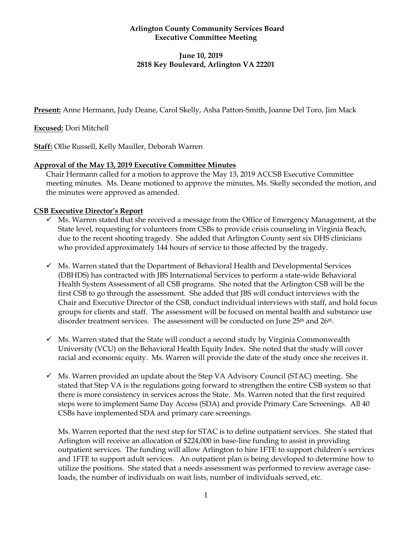## **Arlington County Community Services Board Executive Committee Meeting**

# **June 10, 2019 2818 Key Boulevard, Arlington VA 22201**

**Present:** Anne Hermann, Judy Deane, Carol Skelly, Asha Patton-Smith, Joanne Del Toro, Jim Mack

**Excused:** Dori Mitchell

**Staff:** Ollie Russell, Kelly Mauller, Deborah Warren

## **Approval of the May 13, 2019 Executive Committee Minutes**

Chair Hermann called for a motion to approve the May 13, 2019 ACCSB Executive Committee meeting minutes. Ms. Deane motioned to approve the minutes, Ms. Skelly seconded the motion, and the minutes were approved as amended.

## **CSB Executive Director's Report**

- ✓ Ms. Warren stated that she received a message from the Office of Emergency Management, at the State level, requesting for volunteers from CSBs to provide crisis counseling in Virginia Beach, due to the recent shooting tragedy. She added that Arlington County sent six DHS clinicians who provided approximately 144 hours of service to those affected by the tragedy.
- $\checkmark$  Ms. Warren stated that the Department of Behavioral Health and Developmental Services (DBHDS) has contracted with JBS International Services to perform a state-wide Behavioral Health System Assessment of all CSB programs. She noted that the Arlington CSB will be the first CSB to go through the assessment. She added that JBS will conduct interviews with the Chair and Executive Director of the CSB, conduct individual interviews with staff, and hold focus groups for clients and staff. The assessment will be focused on mental health and substance use disorder treatment services. The assessment will be conducted on June 25<sup>th</sup> and 26<sup>th</sup>.
- $\checkmark$  Ms. Warren stated that the State will conduct a second study by Virginia Commonwealth University (VCU) on the Behavioral Health Equity Index. She noted that the study will cover racial and economic equity. Ms. Warren will provide the date of the study once she receives it.
- $\checkmark$  Ms. Warren provided an update about the Step VA Advisory Council (STAC) meeting. She stated that Step VA is the regulations going forward to strengthen the entire CSB system so that there is more consistency in services across the State. Ms. Warren noted that the first required steps were to implement Same Day Access (SDA) and provide Primary Care Screenings. All 40 CSBs have implemented SDA and primary care screenings.

Ms. Warren reported that the next step for STAC is to define outpatient services. She stated that Arlington will receive an allocation of \$224,000 in base-line funding to assist in providing outpatient services. The funding will allow Arlington to hire 1FTE to support children's services and 1FTE to support adult services. An outpatient plan is being developed to determine how to utilize the positions. She stated that a needs assessment was performed to review average caseloads, the number of individuals on wait lists, number of individuals served, etc.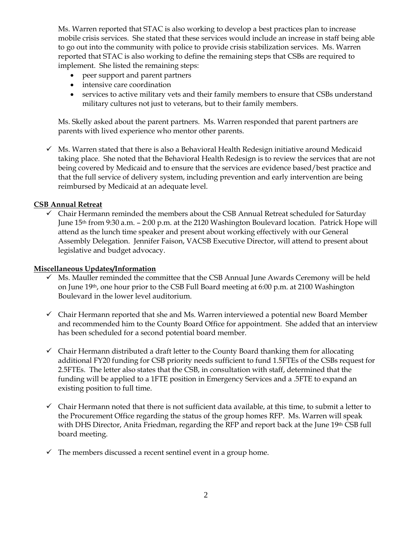Ms. Warren reported that STAC is also working to develop a best practices plan to increase mobile crisis services. She stated that these services would include an increase in staff being able to go out into the community with police to provide crisis stabilization services. Ms. Warren reported that STAC is also working to define the remaining steps that CSBs are required to implement. She listed the remaining steps:

- peer support and parent partners
- intensive care coordination
- services to active military vets and their family members to ensure that CSBs understand military cultures not just to veterans, but to their family members.

Ms. Skelly asked about the parent partners. Ms. Warren responded that parent partners are parents with lived experience who mentor other parents.

✓ Ms. Warren stated that there is also a Behavioral Health Redesign initiative around Medicaid taking place. She noted that the Behavioral Health Redesign is to review the services that are not being covered by Medicaid and to ensure that the services are evidence based/best practice and that the full service of delivery system, including prevention and early intervention are being reimbursed by Medicaid at an adequate level.

## **CSB Annual Retreat**

 $\checkmark$  Chair Hermann reminded the members about the CSB Annual Retreat scheduled for Saturday June 15th from 9:30 a.m. – 2:00 p.m. at the 2120 Washington Boulevard location. Patrick Hope will attend as the lunch time speaker and present about working effectively with our General Assembly Delegation. Jennifer Faison, VACSB Executive Director, will attend to present about legislative and budget advocacy.

#### **Miscellaneous Updates/Information**

- ✓ Ms. Mauller reminded the committee that the CSB Annual June Awards Ceremony will be held on June 19th, one hour prior to the CSB Full Board meeting at 6:00 p.m. at 2100 Washington Boulevard in the lower level auditorium.
- ✓ Chair Hermann reported that she and Ms. Warren interviewed a potential new Board Member and recommended him to the County Board Office for appointment. She added that an interview has been scheduled for a second potential board member.
- $\checkmark$  Chair Hermann distributed a draft letter to the County Board thanking them for allocating additional FY20 funding for CSB priority needs sufficient to fund 1.5FTEs of the CSBs request for 2.5FTEs. The letter also states that the CSB, in consultation with staff, determined that the funding will be applied to a 1FTE position in Emergency Services and a .5FTE to expand an existing position to full time.
- $\checkmark$  Chair Hermann noted that there is not sufficient data available, at this time, to submit a letter to the Procurement Office regarding the status of the group homes RFP. Ms. Warren will speak with DHS Director, Anita Friedman, regarding the RFP and report back at the June 19th CSB full board meeting.
- $\checkmark$  The members discussed a recent sentinel event in a group home.